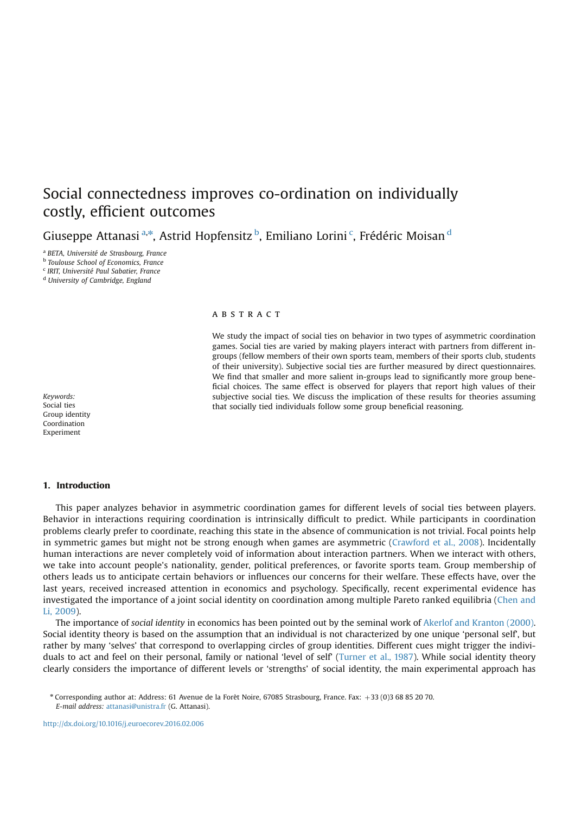# Social connectedness improves co-ordination on individually costly, efficient outcomes

Giuseppe Attanasi<sup>a,\*</sup>, Astrid Hopfensitz <sup>b</sup>, Emiliano Lorini <sup>c</sup>, Frédéric Moisan <sup>d</sup>

<sup>a</sup> BETA, Université de Strasbourg, France

<sup>b</sup> Toulouse School of Economics, France

<sup>c</sup> IRIT, Université Paul Sabatier, France

<sup>d</sup> University of Cambridge, England

# a b s t r a c t

We study the impact of social ties on behavior in two types of asymmetric coordination games. Social ties are varied by making players interact with partners from different ingroups (fellow members of their own sports team, members of their sports club, students of their university). Subjective social ties are further measured by direct questionnaires. We find that smaller and more salient in-groups lead to significantly more group beneficial choices. The same effect is observed for players that report high values of their subjective social ties. We discuss the implication of these results for theories assuming that socially tied individuals follow some group beneficial reasoning.

Keywords: Social ties Group identity Coordination Experiment

# 1. Introduction

This paper analyzes behavior in asymmetric coordination games for different levels of social ties between players. Behavior in interactions requiring coordination is intrinsically difficult to predict. While participants in coordination problems clearly prefer to coordinate, reaching this state in the absence of communication is not trivial. Focal points help in symmetric games but might not be strong enough when games are asymmetric (Crawford et al., 2008). Incidentally human interactions are never completely void of information about interaction partners. When we interact with others, we take into account people's nationality, gender, political preferences, or favorite sports team. Group membership of others leads us to anticipate certain behaviors or influences our concerns for their welfare. These effects have, over the last years, received increased attention in economics and psychology. Specifically, recent experimental evidence has investigated the importance of a joint social identity on coordination among multiple Pareto ranked equilibria (Chen and Li, 2009).

The importance of social identity in economics has been pointed out by the seminal work of Akerlof and Kranton (2000). Social identity theory is based on the assumption that an individual is not characterized by one unique 'personal self', but rather by many 'selves' that correspond to overlapping circles of group identities. Different cues might trigger the individuals to act and feel on their personal, family or national 'level of self' (Turner et al., 1987). While social identity theory clearly considers the importance of different levels or 'strengths' of social identity, the main experimental approach has

\* Corresponding author at: Address: 61 Avenue de la Forêt Noire, 67085 Strasbourg, France. Fax: +33 (0)3 68 85 20 70. E-mail address: attanasi@unistra.fr (G. Attanasi).

http://dx.doi.org/10.1016/j.euroecorev.2016.02.006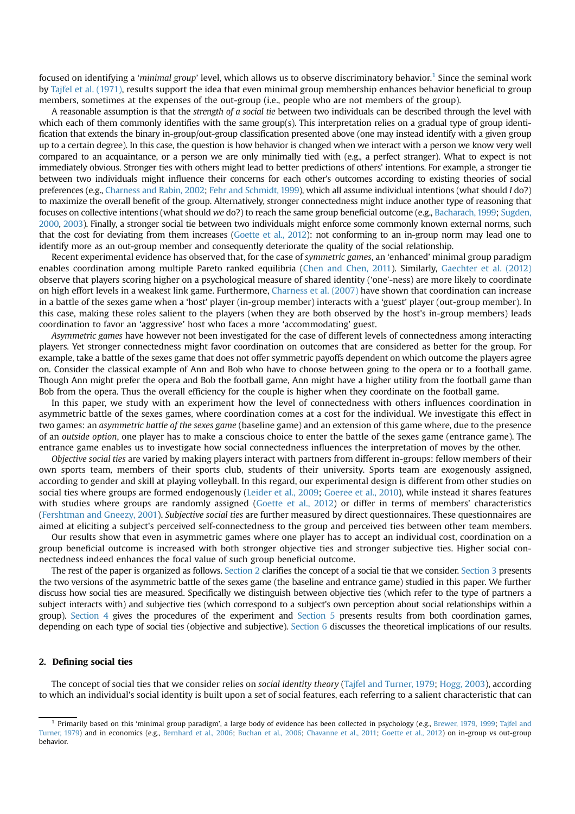focused on identifying a *'minimal group'* level, which allows us to observe discriminatory behavior.<sup>1</sup> Since the seminal work by Tajfel et al. (1971), results support the idea that even minimal group membership enhances behavior beneficial to group members, sometimes at the expenses of the out-group (i.e., people who are not members of the group).

A reasonable assumption is that the *strength of a social tie* between two individuals can be described through the level with which each of them commonly identifies with the same group(s). This interpretation relies on a gradual type of group identification that extends the binary in-group/out-group classification presented above (one may instead identify with a given group up to a certain degree). In this case, the question is how behavior is changed when we interact with a person we know very well compared to an acquaintance, or a person we are only minimally tied with (e.g., a perfect stranger). What to expect is not immediately obvious. Stronger ties with others might lead to better predictions of others' intentions. For example, a stronger tie between two individuals might influence their concerns for each other's outcomes according to existing theories of social preferences (e.g., Charness and Rabin, 2002; Fehr and Schmidt, 1999), which all assume individual intentions (what should I do?) to maximize the overall benefit of the group. Alternatively, stronger connectedness might induce another type of reasoning that focuses on collective intentions (what should we do?) to reach the same group beneficial outcome (e.g., Bacharach, 1999; Sugden, 2000, 2003). Finally, a stronger social tie between two individuals might enforce some commonly known external norms, such that the cost for deviating from them increases (Goette et al., 2012): not conforming to an in-group norm may lead one to identify more as an out-group member and consequently deteriorate the quality of the social relationship.

Recent experimental evidence has observed that, for the case of symmetric games, an 'enhanced' minimal group paradigm enables coordination among multiple Pareto ranked equilibria (Chen and Chen, 2011). Similarly, Gaechter et al. (2012) observe that players scoring higher on a psychological measure of shared identity ('one'-ness) are more likely to coordinate on high effort levels in a weakest link game. Furthermore, Charness et al. (2007) have shown that coordination can increase in a battle of the sexes game when a 'host' player (in-group member) interacts with a 'guest' player (out-group member). In this case, making these roles salient to the players (when they are both observed by the host's in-group members) leads coordination to favor an 'aggressive' host who faces a more 'accommodating' guest.

Asymmetric games have however not been investigated for the case of different levels of connectedness among interacting players. Yet stronger connectedness might favor coordination on outcomes that are considered as better for the group. For example, take a battle of the sexes game that does not offer symmetric payoffs dependent on which outcome the players agree on. Consider the classical example of Ann and Bob who have to choose between going to the opera or to a football game. Though Ann might prefer the opera and Bob the football game, Ann might have a higher utility from the football game than Bob from the opera. Thus the overall efficiency for the couple is higher when they coordinate on the football game.

In this paper, we study with an experiment how the level of connectedness with others influences coordination in asymmetric battle of the sexes games, where coordination comes at a cost for the individual. We investigate this effect in two games: an asymmetric battle of the sexes game (baseline game) and an extension of this game where, due to the presence of an outside option, one player has to make a conscious choice to enter the battle of the sexes game (entrance game). The entrance game enables us to investigate how social connectedness influences the interpretation of moves by the other.

Objective social ties are varied by making players interact with partners from different in-groups: fellow members of their own sports team, members of their sports club, students of their university. Sports team are exogenously assigned, according to gender and skill at playing volleyball. In this regard, our experimental design is different from other studies on social ties where groups are formed endogenously (Leider et al., 2009; Goeree et al., 2010), while instead it shares features with studies where groups are randomly assigned (Goette et al., 2012) or differ in terms of members' characteristics (Fershtman and Gneezy, 2001). Subjective social ties are further measured by direct questionnaires. These questionnaires are aimed at eliciting a subject's perceived self-connectedness to the group and perceived ties between other team members.

Our results show that even in asymmetric games where one player has to accept an individual cost, coordination on a group beneficial outcome is increased with both stronger objective ties and stronger subjective ties. Higher social connectedness indeed enhances the focal value of such group beneficial outcome.

The rest of the paper is organized as follows. Section 2 clarifies the concept of a social tie that we consider. Section 3 presents the two versions of the asymmetric battle of the sexes game (the baseline and entrance game) studied in this paper. We further discuss how social ties are measured. Specifically we distinguish between objective ties (which refer to the type of partners a subject interacts with) and subjective ties (which correspond to a subject's own perception about social relationships within a group). Section 4 gives the procedures of the experiment and Section 5 presents results from both coordination games, depending on each type of social ties (objective and subjective). Section 6 discusses the theoretical implications of our results.

# 2. Defining social ties

The concept of social ties that we consider relies on social identity theory (Tajfel and Turner, 1979; Hogg, 2003), according to which an individual's social identity is built upon a set of social features, each referring to a salient characteristic that can

<sup>&</sup>lt;sup>1</sup> Primarily based on this 'minimal group paradigm', a large body of evidence has been collected in psychology (e.g., Brewer, 1979, 1999; Tajfel and Turner, 1979) and in economics (e.g., Bernhard et al., 2006; Buchan et al., 2006; Chavanne et al., 2011; Goette et al., 2012) on in-group vs out-group behavior.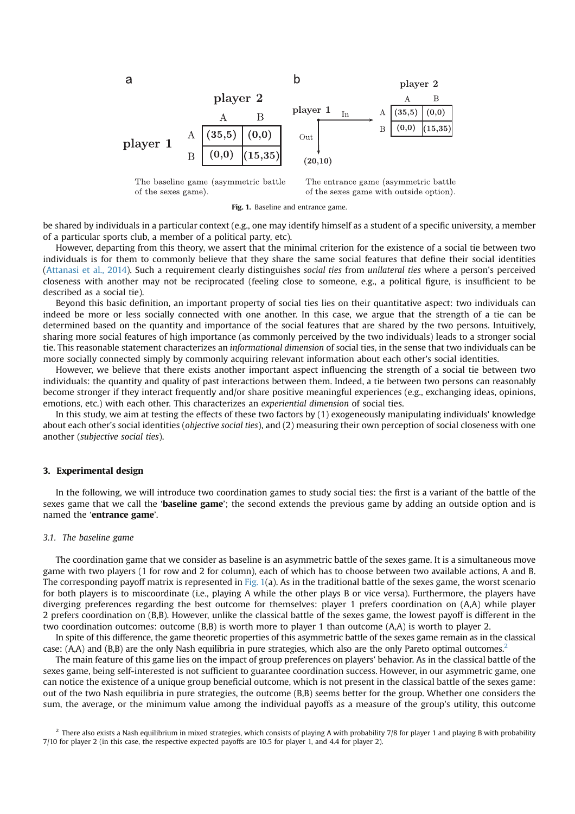

The baseline game (asymmetric battle of the sexes game).

The entrance game (asymmetric battle of the sexes game with outside option).

Fig. 1. Baseline and entrance game.

be shared by individuals in a particular context (e.g., one may identify himself as a student of a specific university, a member of a particular sports club, a member of a political party, etc).

However, departing from this theory, we assert that the minimal criterion for the existence of a social tie between two individuals is for them to commonly believe that they share the same social features that define their social identities (Attanasi et al., 2014). Such a requirement clearly distinguishes social ties from unilateral ties where a person's perceived closeness with another may not be reciprocated (feeling close to someone, e.g., a political figure, is insufficient to be described as a social tie).

Beyond this basic definition, an important property of social ties lies on their quantitative aspect: two individuals can indeed be more or less socially connected with one another. In this case, we argue that the strength of a tie can be determined based on the quantity and importance of the social features that are shared by the two persons. Intuitively, sharing more social features of high importance (as commonly perceived by the two individuals) leads to a stronger social tie. This reasonable statement characterizes an informational dimension of social ties, in the sense that two individuals can be more socially connected simply by commonly acquiring relevant information about each other's social identities.

However, we believe that there exists another important aspect influencing the strength of a social tie between two individuals: the quantity and quality of past interactions between them. Indeed, a tie between two persons can reasonably become stronger if they interact frequently and/or share positive meaningful experiences (e.g., exchanging ideas, opinions, emotions, etc.) with each other. This characterizes an experiential dimension of social ties.

In this study, we aim at testing the effects of these two factors by (1) exogeneously manipulating individuals' knowledge about each other's social identities (*objective social ties*), and (2) measuring their own perception of social closeness with one another (subjective social ties).

## 3. Experimental design

In the following, we will introduce two coordination games to study social ties: the first is a variant of the battle of the sexes game that we call the '**baseline game**': the second extends the previous game by adding an outside option and is named the 'entrance game'.

## 3.1. The baseline game

The coordination game that we consider as baseline is an asymmetric battle of the sexes game. It is a simultaneous move game with two players (1 for row and 2 for column), each of which has to choose between two available actions, A and B. The corresponding payoff matrix is represented in Fig. 1(a). As in the traditional battle of the sexes game, the worst scenario for both players is to miscoordinate (i.e., playing A while the other plays B or vice versa). Furthermore, the players have diverging preferences regarding the best outcome for themselves: player 1 prefers coordination on (A,A) while player 2 prefers coordination on (B,B). However, unlike the classical battle of the sexes game, the lowest payoff is different in the two coordination outcomes: outcome (B,B) is worth more to player 1 than outcome (A,A) is worth to player 2.

In spite of this difference, the game theoretic properties of this asymmetric battle of the sexes game remain as in the classical case:  $(A,A)$  and  $(B,B)$  are the only Nash equilibria in pure strategies, which also are the only Pareto optimal outcomes.<sup>2</sup>

The main feature of this game lies on the impact of group preferences on players' behavior. As in the classical battle of the sexes game, being self-interested is not sufficient to guarantee coordination success. However, in our asymmetric game, one can notice the existence of a unique group beneficial outcome, which is not present in the classical battle of the sexes game: out of the two Nash equilibria in pure strategies, the outcome (B,B) seems better for the group. Whether one considers the sum, the average, or the minimum value among the individual payoffs as a measure of the group's utility, this outcome

 $^2$  There also exists a Nash equilibrium in mixed strategies, which consists of playing A with probability 7/8 for player 1 and playing B with probability 7/10 for player 2 (in this case, the respective expected payoffs are 10.5 for player 1, and 4.4 for player 2).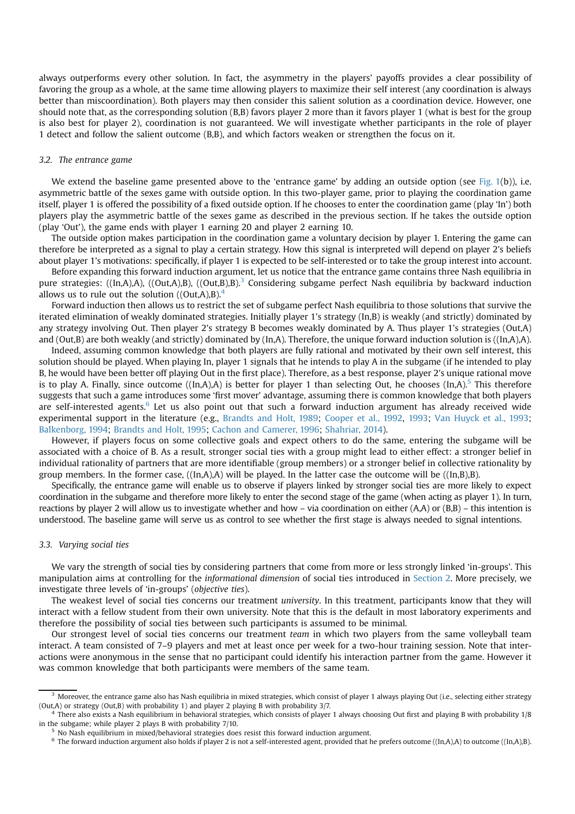always outperforms every other solution. In fact, the asymmetry in the players' payoffs provides a clear possibility of favoring the group as a whole, at the same time allowing players to maximize their self interest (any coordination is always better than miscoordination). Both players may then consider this salient solution as a coordination device. However, one should note that, as the corresponding solution (B,B) favors player 2 more than it favors player 1 (what is best for the group is also best for player 2), coordination is not guaranteed. We will investigate whether participants in the role of player 1 detect and follow the salient outcome (B,B), and which factors weaken or strengthen the focus on it.

# 3.2. The entrance game

We extend the baseline game presented above to the 'entrance game' by adding an outside option (see Fig. 1(b)), i.e. asymmetric battle of the sexes game with outside option. In this two-player game, prior to playing the coordination game itself, player 1 is offered the possibility of a fixed outside option. If he chooses to enter the coordination game (play 'In') both players play the asymmetric battle of the sexes game as described in the previous section. If he takes the outside option (play 'Out'), the game ends with player 1 earning 20 and player 2 earning 10.

The outside option makes participation in the coordination game a voluntary decision by player 1. Entering the game can therefore be interpreted as a signal to play a certain strategy. How this signal is interpreted will depend on player 2's beliefs about player 1's motivations: specifically, if player 1 is expected to be self-interested or to take the group interest into account.

Before expanding this forward induction argument, let us notice that the entrance game contains three Nash equilibria in pure strategies: ((In,A),A), ((Out,A),B), ((Out,B),B).<sup>3</sup> Considering subgame perfect Nash equilibria by backward induction allows us to rule out the solution  $((Out,A),B)$ .<sup>4</sup>

Forward induction then allows us to restrict the set of subgame perfect Nash equilibria to those solutions that survive the iterated elimination of weakly dominated strategies. Initially player 1's strategy (In,B) is weakly (and strictly) dominated by any strategy involving Out. Then player 2's strategy B becomes weakly dominated by A. Thus player 1's strategies (Out,A) and (Out,B) are both weakly (and strictly) dominated by (In,A). Therefore, the unique forward induction solution is ((In,A),A).

Indeed, assuming common knowledge that both players are fully rational and motivated by their own self interest, this solution should be played. When playing In, player 1 signals that he intends to play A in the subgame (if he intended to play B, he would have been better off playing Out in the first place). Therefore, as a best response, player 2's unique rational move is to play A. Finally, since outcome ((In,A),A) is better for player 1 than selecting Out, he chooses (In,A).<sup>5</sup> This therefore suggests that such a game introduces some 'first mover' advantage, assuming there is common knowledge that both players are self-interested agents.<sup>6</sup> Let us also point out that such a forward induction argument has already received wide experimental support in the literature (e.g., Brandts and Holt, 1989; Cooper et al., 1992, 1993; Van Huyck et al., 1993; Balkenborg, 1994; Brandts and Holt, 1995; Cachon and Camerer, 1996; Shahriar, 2014).

However, if players focus on some collective goals and expect others to do the same, entering the subgame will be associated with a choice of B. As a result, stronger social ties with a group might lead to either effect: a stronger belief in individual rationality of partners that are more identifiable (group members) or a stronger belief in collective rationality by group members. In the former case,  $((In,A),A)$  will be played. In the latter case the outcome will be  $((In,B),B)$ .

Specifically, the entrance game will enable us to observe if players linked by stronger social ties are more likely to expect coordination in the subgame and therefore more likely to enter the second stage of the game (when acting as player 1). In turn, reactions by player 2 will allow us to investigate whether and how – via coordination on either (A,A) or (B,B) – this intention is understood. The baseline game will serve us as control to see whether the first stage is always needed to signal intentions.

### 3.3. Varying social ties

We vary the strength of social ties by considering partners that come from more or less strongly linked 'in-groups'. This manipulation aims at controlling for the informational dimension of social ties introduced in Section 2. More precisely, we investigate three levels of 'in-groups' (objective ties).

The weakest level of social ties concerns our treatment *university*. In this treatment, participants know that they will interact with a fellow student from their own university. Note that this is the default in most laboratory experiments and therefore the possibility of social ties between such participants is assumed to be minimal.

Our strongest level of social ties concerns our treatment team in which two players from the same volleyball team interact. A team consisted of 7–9 players and met at least once per week for a two-hour training session. Note that interactions were anonymous in the sense that no participant could identify his interaction partner from the game. However it was common knowledge that both participants were members of the same team.

<sup>&</sup>lt;sup>3</sup> Moreover, the entrance game also has Nash equilibria in mixed strategies, which consist of player 1 always playing Out (i.e., selecting either strategy (Out,A) or strategy (Out,B) with probability 1) and player 2 playing B with probability 3/7.

 $^4$  There also exists a Nash equilibrium in behavioral strategies, which consists of player 1 always choosing Out first and playing B with probability  $1/8$ in the subgame; while player 2 plays B with probability 7/10.

 $<sup>5</sup>$  No Nash equilibrium in mixed/behavioral strategies does resist this forward induction argument.</sup>

 $^6$  The forward induction argument also holds if player 2 is not a self-interested agent, provided that he prefers outcome ((In,A),A) to outcome ((In,A),B).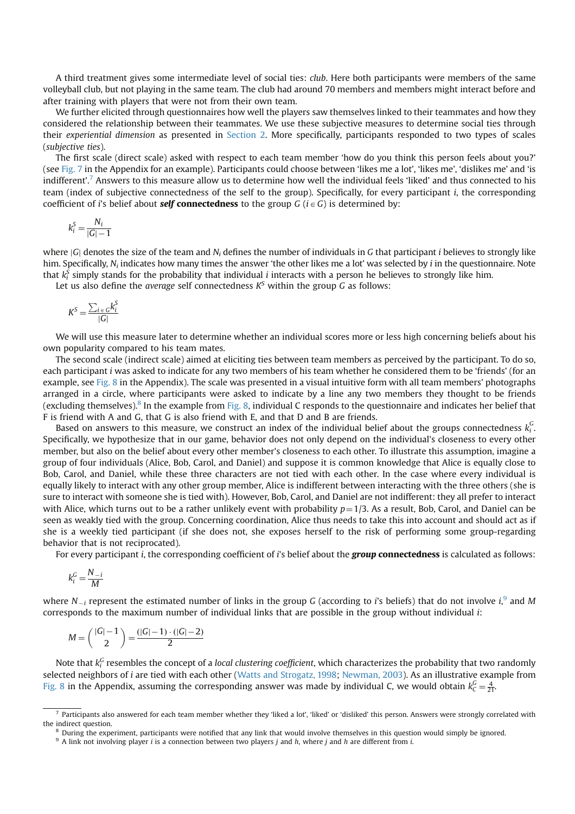A third treatment gives some intermediate level of social ties: club. Here both participants were members of the same volleyball club, but not playing in the same team. The club had around 70 members and members might interact before and after training with players that were not from their own team.

We further elicited through questionnaires how well the players saw themselves linked to their teammates and how they considered the relationship between their teammates. We use these subjective measures to determine social ties through their experiential dimension as presented in Section 2. More specifically, participants responded to two types of scales (subjective ties).

The first scale (direct scale) asked with respect to each team member 'how do you think this person feels about you?' (see Fig. 7 in the Appendix for an example). Participants could choose between 'likes me a lot', 'likes me', 'dislikes me' and 'is indifferent'.<sup>7</sup> Answers to this measure allow us to determine how well the individual feels 'liked' and thus connected to his team (index of subjective connectedness of the self to the group). Specifically, for every participant i, the corresponding coefficient of *i*'s belief about **self connectedness** to the group  $G$  ( $i \in G$ ) is determined by:

$$
k_i^S = \frac{N_i}{|G|-1}
$$

where  $|G|$  denotes the size of the team and  $N_i$  defines the number of individuals in G that participant *i* believes to strongly like him. Specifically,  $N_i$  indicates how many times the answer 'the other likes me a lot' was selected by i in the questionnaire. Note that  $k_i^S$  simply stands for the probability that individual  $i$  interacts with a person he believes to strongly like him.

Let us also define the *average* self connectedness  $K^S$  within the group G as follows:

$$
K^S = \frac{\sum_{i \in G} k_i^S}{|G|}
$$

We will use this measure later to determine whether an individual scores more or less high concerning beliefs about his own popularity compared to his team mates.

The second scale (indirect scale) aimed at eliciting ties between team members as perceived by the participant. To do so, each participant *i* was asked to indicate for any two members of his team whether he considered them to be 'friends' (for an example, see Fig. 8 in the Appendix). The scale was presented in a visual intuitive form with all team members' photographs arranged in a circle, where participants were asked to indicate by a line any two members they thought to be friends (excluding themselves).<sup>8</sup> In the example from Fig. 8, individual C responds to the questionnaire and indicates her belief that F is friend with A and G, that G is also friend with E, and that D and B are friends.

Based on answers to this measure, we construct an index of the individual belief about the groups connectedness  $k_i^G$ . Specifically, we hypothesize that in our game, behavior does not only depend on the individual's closeness to every other member, but also on the belief about every other member's closeness to each other. To illustrate this assumption, imagine a group of four individuals (Alice, Bob, Carol, and Daniel) and suppose it is common knowledge that Alice is equally close to Bob, Carol, and Daniel, while these three characters are not tied with each other. In the case where every individual is equally likely to interact with any other group member, Alice is indifferent between interacting with the three others (she is sure to interact with someone she is tied with). However, Bob, Carol, and Daniel are not indifferent: they all prefer to interact with Alice, which turns out to be a rather unlikely event with probability  $p=1/3$ . As a result, Bob, Carol, and Daniel can be seen as weakly tied with the group. Concerning coordination, Alice thus needs to take this into account and should act as if she is a weekly tied participant (if she does not, she exposes herself to the risk of performing some group-regarding behavior that is not reciprocated).

For every participant *i*, the corresponding coefficient of *i*'s belief about the **group connectedness** is calculated as follows:

$$
k_i^G = \frac{N_{-i}}{M}
$$

where N $_{-i}$  represent the estimated number of links in the group G (according to i's beliefs) that do not involve  $i,^\circ$  and M corresponds to the maximum number of individual links that are possible in the group without individual i:

$$
M = \binom{|G|-1}{2} = \frac{(|G|-1) \cdot (|G|-2)}{2}
$$

Note that  $k_i^G$  resembles the concept of a local clustering coefficient, which characterizes the probability that two randomly selected neighbors of i are tied with each other (Watts and Strogatz, 1998; Newman, 2003). As an illustrative example from Fig. 8 in the Appendix, assuming the corresponding answer was made by individual C, we would obtain  $k_C^G = \frac{4}{21}$ .

 $^7$  Participants also answered for each team member whether they 'liked a lot', 'liked' or 'disliked' this person. Answers were strongly correlated with the indirect question.

<sup>&</sup>lt;sup>8</sup> During the experiment, participants were notified that any link that would involve themselves in this question would simply be ignored.

 $9$  A link not involving player *i* is a connection between two players *j* and *h*, where *j* and *h* are different from *i*.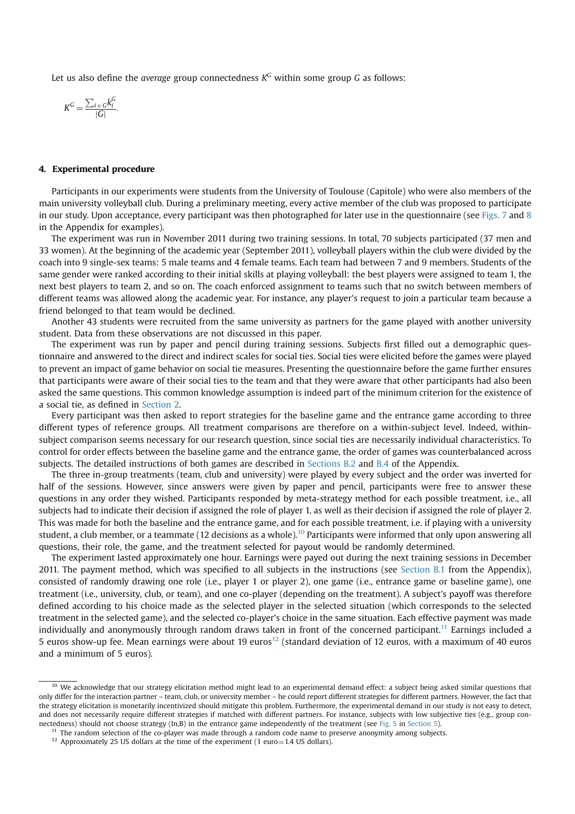Let us also define the *average* group connectedness  $K^G$  within some group G as follows:

$$
K^G = \frac{\sum_{i \in G} k_i^G}{|G|}.
$$

# 4. Experimental procedure

Participants in our experiments were students from the University of Toulouse (Capitole) who were also members of the main university volleyball club. During a preliminary meeting, every active member of the club was proposed to participate in our study. Upon acceptance, every participant was then photographed for later use in the questionnaire (see Figs. 7 and 8 in the Appendix for examples).

The experiment was run in November 2011 during two training sessions. In total, 70 subjects participated (37 men and 33 women). At the beginning of the academic year (September 2011), volleyball players within the club were divided by the coach into 9 single-sex teams: 5 male teams and 4 female teams. Each team had between 7 and 9 members. Students of the same gender were ranked according to their initial skills at playing volleyball: the best players were assigned to team 1, the next best players to team 2, and so on. The coach enforced assignment to teams such that no switch between members of different teams was allowed along the academic year. For instance, any player's request to join a particular team because a friend belonged to that team would be declined.

Another 43 students were recruited from the same university as partners for the game played with another university student. Data from these observations are not discussed in this paper.

The experiment was run by paper and pencil during training sessions. Subjects first filled out a demographic questionnaire and answered to the direct and indirect scales for social ties. Social ties were elicited before the games were played to prevent an impact of game behavior on social tie measures. Presenting the questionnaire before the game further ensures that participants were aware of their social ties to the team and that they were aware that other participants had also been asked the same questions. This common knowledge assumption is indeed part of the minimum criterion for the existence of a social tie, as defined in Section 2.

Every participant was then asked to report strategies for the baseline game and the entrance game according to three different types of reference groups. All treatment comparisons are therefore on a within-subject level. Indeed, withinsubject comparison seems necessary for our research question, since social ties are necessarily individual characteristics. To control for order effects between the baseline game and the entrance game, the order of games was counterbalanced across subjects. The detailed instructions of both games are described in Sections B.2 and B.4 of the Appendix.

The three in-group treatments (team, club and university) were played by every subject and the order was inverted for half of the sessions. However, since answers were given by paper and pencil, participants were free to answer these questions in any order they wished. Participants responded by meta-strategy method for each possible treatment, i.e., all subjects had to indicate their decision if assigned the role of player 1, as well as their decision if assigned the role of player 2. This was made for both the baseline and the entrance game, and for each possible treatment, i.e. if playing with a university student, a club member, or a teammate (12 decisions as a whole).<sup>10</sup> Participants were informed that only upon answering all questions, their role, the game, and the treatment selected for payout would be randomly determined.

The experiment lasted approximately one hour. Earnings were payed out during the next training sessions in December 2011. The payment method, which was specified to all subjects in the instructions (see Section B.1 from the Appendix), consisted of randomly drawing one role (i.e., player 1 or player 2), one game (i.e., entrance game or baseline game), one treatment (i.e., university, club, or team), and one co-player (depending on the treatment). A subject's payoff was therefore defined according to his choice made as the selected player in the selected situation (which corresponds to the selected treatment in the selected game), and the selected co-player's choice in the same situation. Each effective payment was made individually and anonymously through random draws taken in front of the concerned participant.<sup>11</sup> Earnings included a 5 euros show-up fee. Mean earnings were about 19 euros<sup>12</sup> (standard deviation of 12 euros, with a maximum of 40 euros and a minimum of 5 euros).

<sup>&</sup>lt;sup>10</sup> We acknowledge that our strategy elicitation method might lead to an experimental demand effect: a subject being asked similar questions that only differ for the interaction partner – team, club, or university member – he could report different strategies for different partners. However, the fact that the strategy elicitation is monetarily incentivized should mitigate this problem. Furthermore, the experimental demand in our study is not easy to detect, and does not necessarily require different strategies if matched with different partners. For instance, subjects with low subjective ties (e.g., group connectedness) should not choose strategy (In,B) in the entrance game independently of the treatment (see Fig. 5 in Section 5).

 $11$  The random selection of the co-player was made through a random code name to preserve anonymity among subjects.

<sup>&</sup>lt;sup>12</sup> Approximately 25 US dollars at the time of the experiment (1 euro=1.4 US dollars).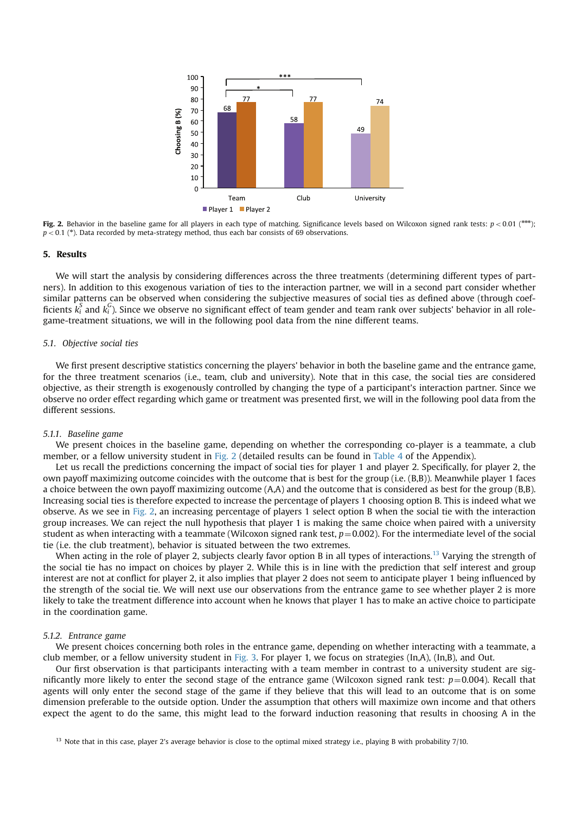

Fig. 2. Behavior in the baseline game for all players in each type of matching. Significance levels based on Wilcoxon signed rank tests:  $p < 0.01$  (\*\*\*);  $p < 0.1$  (\*). Data recorded by meta-strategy method, thus each bar consists of 69 observations.

#### 5. Results

We will start the analysis by considering differences across the three treatments (determining different types of partners). In addition to this exogenous variation of ties to the interaction partner, we will in a second part consider whether similar patterns can be observed when considering the subjective measures of social ties as defined above (through coefficients  $k_i^S$  and  $k_i^G$ ). Since we observe no significant effect of team gender and team rank over subjects' behavior in all rolegame-treatment situations, we will in the following pool data from the nine different teams.

# 5.1. Objective social ties

We first present descriptive statistics concerning the players' behavior in both the baseline game and the entrance game, for the three treatment scenarios (i.e., team, club and university). Note that in this case, the social ties are considered objective, as their strength is exogenously controlled by changing the type of a participant's interaction partner. Since we observe no order effect regarding which game or treatment was presented first, we will in the following pool data from the different sessions.

#### 5.1.1. Baseline game

We present choices in the baseline game, depending on whether the corresponding co-player is a teammate, a club member, or a fellow university student in Fig. 2 (detailed results can be found in Table 4 of the Appendix).

Let us recall the predictions concerning the impact of social ties for player 1 and player 2. Specifically, for player 2, the own payoff maximizing outcome coincides with the outcome that is best for the group (i.e. (B,B)). Meanwhile player 1 faces a choice between the own payoff maximizing outcome (A,A) and the outcome that is considered as best for the group (B,B). Increasing social ties is therefore expected to increase the percentage of players 1 choosing option B. This is indeed what we observe. As we see in Fig. 2, an increasing percentage of players 1 select option B when the social tie with the interaction group increases. We can reject the null hypothesis that player 1 is making the same choice when paired with a university student as when interacting with a teammate (Wilcoxon signed rank test,  $p=0.002$ ). For the intermediate level of the social tie (i.e. the club treatment), behavior is situated between the two extremes.

When acting in the role of player 2, subjects clearly favor option B in all types of interactions.<sup>13</sup> Varying the strength of the social tie has no impact on choices by player 2. While this is in line with the prediction that self interest and group interest are not at conflict for player 2, it also implies that player 2 does not seem to anticipate player 1 being influenced by the strength of the social tie. We will next use our observations from the entrance game to see whether player 2 is more likely to take the treatment difference into account when he knows that player 1 has to make an active choice to participate in the coordination game.

# 5.1.2. Entrance game

We present choices concerning both roles in the entrance game, depending on whether interacting with a teammate, a club member, or a fellow university student in Fig. 3. For player 1, we focus on strategies ( $In, A$ ), ( $In, B$ ), and Out.

Our first observation is that participants interacting with a team member in contrast to a university student are significantly more likely to enter the second stage of the entrance game (Wilcoxon signed rank test:  $p=0.004$ ). Recall that agents will only enter the second stage of the game if they believe that this will lead to an outcome that is on some dimension preferable to the outside option. Under the assumption that others will maximize own income and that others expect the agent to do the same, this might lead to the forward induction reasoning that results in choosing A in the

 $13$  Note that in this case, player 2's average behavior is close to the optimal mixed strategy i.e., playing B with probability 7/10.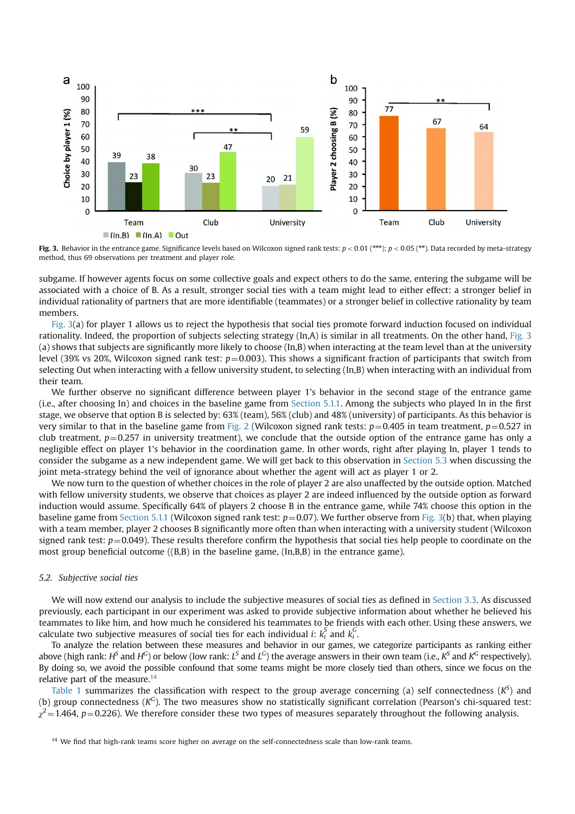

Fig. 3. Behavior in the entrance game. Significance levels based on Wilcoxon signed rank tests:  $p < 0.01$  (\*\*\*);  $p < 0.05$  (\*\*). Data recorded by meta-strategy method, thus 69 observations per treatment and player role.

subgame. If however agents focus on some collective goals and expect others to do the same, entering the subgame will be associated with a choice of B. As a result, stronger social ties with a team might lead to either effect: a stronger belief in individual rationality of partners that are more identifiable (teammates) or a stronger belief in collective rationality by team members.

 $Fig. 3(a)$  for player 1 allows us to reject the hypothesis that social ties promote forward induction focused on individual rationality. Indeed, the proportion of subjects selecting strategy (In,A) is similar in all treatments. On the other hand, Fig. 3 (a) shows that subjects are significantly more likely to choose (In,B) when interacting at the team level than at the university level (39% vs 20%, Wilcoxon signed rank test:  $p=0.003$ ). This shows a significant fraction of participants that switch from selecting Out when interacting with a fellow university student, to selecting (In,B) when interacting with an individual from their team.

We further observe no significant difference between player 1's behavior in the second stage of the entrance game (i.e., after choosing In) and choices in the baseline game from Section 5.1.1. Among the subjects who played In in the first stage, we observe that option B is selected by: 63% (team), 56% (club) and 48% (university) of participants. As this behavior is very similar to that in the baseline game from Fig. 2 (Wilcoxon signed rank tests:  $p=0.405$  in team treatment,  $p=0.527$  in club treatment,  $p=0.257$  in university treatment), we conclude that the outside option of the entrance game has only a negligible effect on player 1's behavior in the coordination game. In other words, right after playing In, player 1 tends to consider the subgame as a new independent game. We will get back to this observation in Section 5.3 when discussing the joint meta-strategy behind the veil of ignorance about whether the agent will act as player 1 or 2.

We now turn to the question of whether choices in the role of player 2 are also unaffected by the outside option. Matched with fellow university students, we observe that choices as player 2 are indeed influenced by the outside option as forward induction would assume. Specifically 64% of players 2 choose B in the entrance game, while 74% choose this option in the baseline game from Section 5.1.1 (Wilcoxon signed rank test:  $p=0.07$ ). We further observe from Fig. 3(b) that, when playing with a team member, player 2 chooses B significantly more often than when interacting with a university student (Wilcoxon signed rank test:  $p=0.049$ ). These results therefore confirm the hypothesis that social ties help people to coordinate on the most group beneficial outcome  $((B,B)$  in the baseline game,  $(In,B,B)$  in the entrance game).

## 5.2. Subjective social ties

We will now extend our analysis to include the subjective measures of social ties as defined in Section 3.3. As discussed previously, each participant in our experiment was asked to provide subjective information about whether he believed his teammates to like him, and how much he considered his teammates to be friends with each other. Using these answers, we calculate two subjective measures of social ties for each individual i:  $k_i^S$  and  $k_i^G$ .

To analyze the relation between these measures and behavior in our games, we categorize participants as ranking either above (high rank:  $H^S$  and  $H^G$ ) or below (low rank:  $L^S$  and  $L^G$ ) the average answers in their own team (i.e.,  $K^S$  and  $K^G$  respectively). By doing so, we avoid the possible confound that some teams might be more closely tied than others, since we focus on the relative part of the measure. $^{14}$ 

Table 1 summarizes the classification with respect to the group average concerning (a) self connectedness ( $K^S$ ) and (b) group connectedness ( $K^G$ ). The two measures show no statistically significant correlation (Pearson's chi-squared test:  $\chi^2$ =1.464, p=0.226). We therefore consider these two types of measures separately throughout the following analysis.

<sup>&</sup>lt;sup>14</sup> We find that high-rank teams score higher on average on the self-connectedness scale than low-rank teams.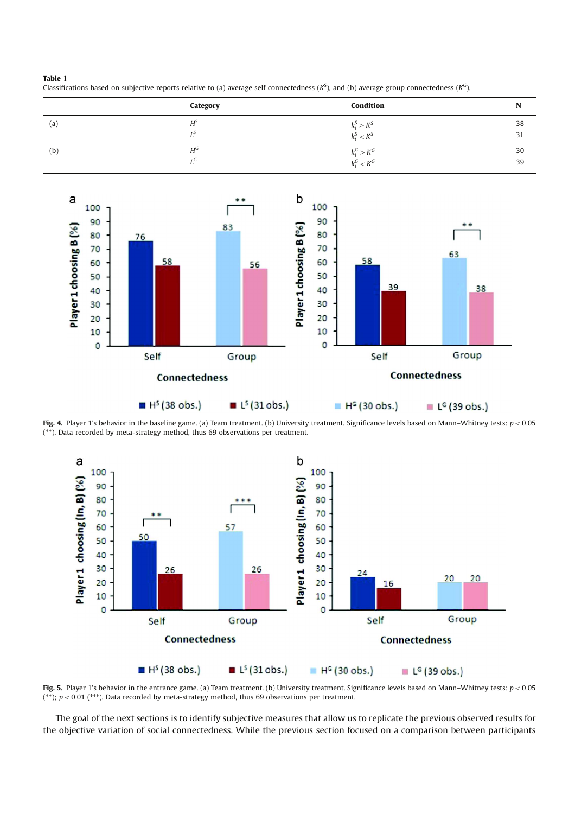Table 1 Classifications based on subjective reports relative to (a) average self connectedness ( $K^S$ ), and (b) average group connectedness ( $K^C$ ).





Fig. 4. Player 1's behavior in the baseline game. (a) Team treatment. (b) University treatment. Significance levels based on Mann–Whitney tests:  $p < 0.05$ (\*\*). Data recorded by meta-strategy method, thus 69 observations per treatment.



Fig. 5. Player 1's behavior in the entrance game. (a) Team treatment. (b) University treatment. Significance levels based on Mann–Whitney tests:  $p < 0.05$ (\*\*);  $p < 0.01$  (\*\*\*). Data recorded by meta-strategy method, thus 69 observations per treatment.

The goal of the next sections is to identify subjective measures that allow us to replicate the previous observed results for the objective variation of social connectedness. While the previous section focused on a comparison between participants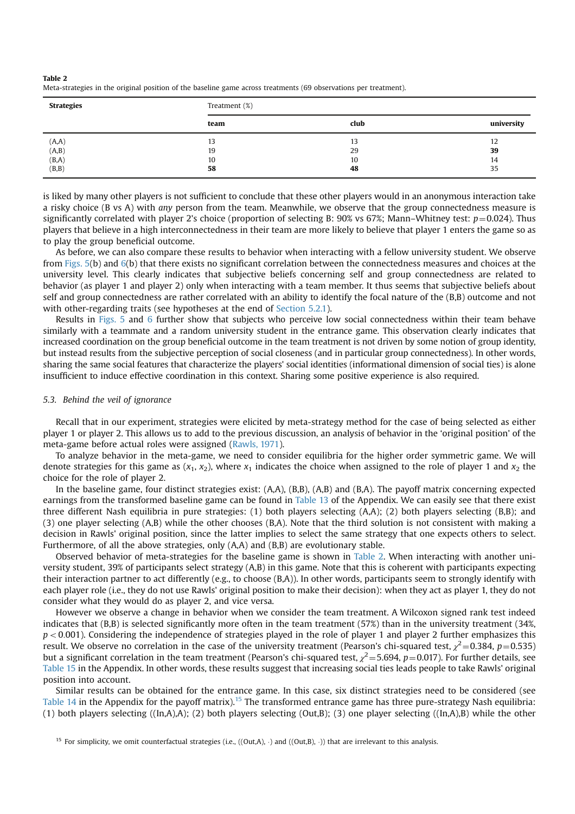Table 2 Meta-strategies in the original position of the baseline game across treatments (69 observations per treatment).

| <b>Strategies</b>                        | Treatment (%) |      |            |  |  |  |
|------------------------------------------|---------------|------|------------|--|--|--|
|                                          | team          | club | university |  |  |  |
|                                          | 13            | 13   | 12         |  |  |  |
|                                          | 19            | 29   | 39         |  |  |  |
|                                          | 10            | 10   | 14         |  |  |  |
| $(A,A)$<br>$(A,B)$<br>$(B,A)$<br>$(B,B)$ | 58            | 48   | 35         |  |  |  |

is liked by many other players is not sufficient to conclude that these other players would in an anonymous interaction take a risky choice (B vs A) with any person from the team. Meanwhile, we observe that the group connectedness measure is significantly correlated with player 2's choice (proportion of selecting B:  $90\%$  vs 67%; Mann–Whitney test:  $p=0.024$ ). Thus players that believe in a high interconnectedness in their team are more likely to believe that player 1 enters the game so as to play the group beneficial outcome.

As before, we can also compare these results to behavior when interacting with a fellow university student. We observe from Figs. 5(b) and 6(b) that there exists no significant correlation between the connectedness measures and choices at the university level. This clearly indicates that subjective beliefs concerning self and group connectedness are related to behavior (as player 1 and player 2) only when interacting with a team member. It thus seems that subjective beliefs about self and group connectedness are rather correlated with an ability to identify the focal nature of the (B,B) outcome and not with other-regarding traits (see hypotheses at the end of Section 5.2.1).

Results in Figs. 5 and 6 further show that subjects who perceive low social connectedness within their team behave similarly with a teammate and a random university student in the entrance game. This observation clearly indicates that increased coordination on the group beneficial outcome in the team treatment is not driven by some notion of group identity, but instead results from the subjective perception of social closeness (and in particular group connectedness). In other words, sharing the same social features that characterize the players' social identities (informational dimension of social ties) is alone insufficient to induce effective coordination in this context. Sharing some positive experience is also required.

# 5.3. Behind the veil of ignorance

Recall that in our experiment, strategies were elicited by meta-strategy method for the case of being selected as either player 1 or player 2. This allows us to add to the previous discussion, an analysis of behavior in the 'original position' of the meta-game before actual roles were assigned (Rawls, 1971).

To analyze behavior in the meta-game, we need to consider equilibria for the higher order symmetric game. We will denote strategies for this game as  $(x_1, x_2)$ , where  $x_1$  indicates the choice when assigned to the role of player 1 and  $x_2$  the choice for the role of player 2.

In the baseline game, four distinct strategies exist: (A,A), (B,B), (A,B) and (B,A). The payoff matrix concerning expected earnings from the transformed baseline game can be found in Table 13 of the Appendix. We can easily see that there exist three different Nash equilibria in pure strategies: (1) both players selecting (A,A); (2) both players selecting (B,B); and (3) one player selecting (A,B) while the other chooses (B,A). Note that the third solution is not consistent with making a decision in Rawls' original position, since the latter implies to select the same strategy that one expects others to select. Furthermore, of all the above strategies, only (A,A) and (B,B) are evolutionary stable.

Observed behavior of meta-strategies for the baseline game is shown in Table 2. When interacting with another university student, 39% of participants select strategy (A,B) in this game. Note that this is coherent with participants expecting their interaction partner to act differently (e.g., to choose (B,A)). In other words, participants seem to strongly identify with each player role (i.e., they do not use Rawls' original position to make their decision): when they act as player 1, they do not consider what they would do as player 2, and vice versa.

However we observe a change in behavior when we consider the team treatment. A Wilcoxon signed rank test indeed indicates that (B,B) is selected significantly more often in the team treatment (57%) than in the university treatment (34%,  $p < 0.001$ ). Considering the independence of strategies played in the role of player 1 and player 2 further emphasizes this result. We observe no correlation in the case of the university treatment (Pearson's chi-squared test,  $\chi^2$ =0.384, p=0.535) but a significant correlation in the team treatment (Pearson's chi-squared test,  $\chi^2$ =5.694, p=0.017). For further details, see Table 15 in the Appendix. In other words, these results suggest that increasing social ties leads people to take Rawls' original position into account.

Similar results can be obtained for the entrance game. In this case, six distinct strategies need to be considered (see Table 14 in the Appendix for the payoff matrix).<sup>15</sup> The transformed entrance game has three pure-strategy Nash equilibria: (1) both players selecting  $((In,A),A);$  (2) both players selecting  $(Out,B);$  (3) one player selecting  $((In,A),B)$  while the other

<sup>&</sup>lt;sup>15</sup> For simplicity, we omit counterfactual strategies (i.e., ((Out,A),  $\cdot$ ) and ((Out,B),  $\cdot$ )) that are irrelevant to this analysis.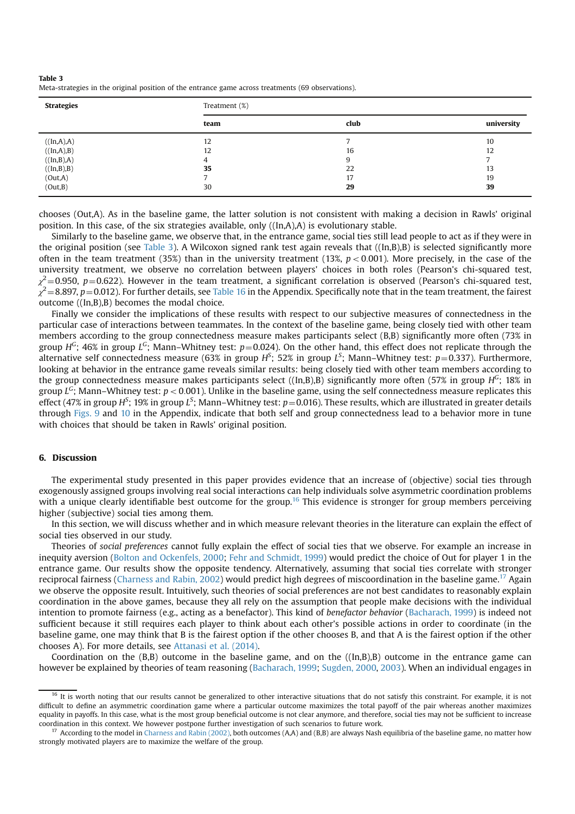| Table 3                                                                                            |
|----------------------------------------------------------------------------------------------------|
| Meta-strategies in the original position of the entrance game across treatments (69 observations). |

| <b>Strategies</b> | Treatment (%) |      |            |  |  |  |
|-------------------|---------------|------|------------|--|--|--|
|                   | team          | club | university |  |  |  |
| ((In, A), A)      | 12            |      | 10         |  |  |  |
| ((In, A), B)      | 12            | 16   | 12         |  |  |  |
| ((In,B),A)        | 4             | 9    |            |  |  |  |
| ((In,B),B)        | 35            | 22   | 13         |  |  |  |
| (Out,A)           |               | 17   | 19         |  |  |  |
| (Out,B)           | 30            | 29   | 39         |  |  |  |

chooses (Out,A). As in the baseline game, the latter solution is not consistent with making a decision in Rawls' original position. In this case, of the six strategies available, only ((In,A),A) is evolutionary stable.

Similarly to the baseline game, we observe that, in the entrance game, social ties still lead people to act as if they were in the original position (see Table 3). A Wilcoxon signed rank test again reveals that ((In,B),B) is selected significantly more often in the team treatment (35%) than in the university treatment (13%,  $p < 0.001$ ). More precisely, in the case of the university treatment, we observe no correlation between players' choices in both roles (Pearson's chi-squared test,  $\chi^2$ =0.950, p=0.622). However in the team treatment, a significant correlation is observed (Pearson's chi-squared test,  $\chi^2$ =8.897, p=0.012). For further details, see Table 16 in the Appendix. Specifically note that in the team treatment, the fairest outcome ((In,B),B) becomes the modal choice.

Finally we consider the implications of these results with respect to our subjective measures of connectedness in the particular case of interactions between teammates. In the context of the baseline game, being closely tied with other team members according to the group connectedness measure makes participants select (B,B) significantly more often (73% in group H<sup>G</sup>; 46% in group L<sup>G</sup>; Mann–Whitney test: p=0.024). On the other hand, this effect does not replicate through the alternative self connectedness measure (63% in group  $H^S$ ; 52% in group  $L^S$ ; Mann–Whitney test:  $p=$ 0.337). Furthermore, looking at behavior in the entrance game reveals similar results: being closely tied with other team members according to the group connectedness measure makes participants select ((In,B),B) significantly more often (57% in group  $H^G$ ; 18% in group L<sup>G</sup>; Mann–Whitney test: p < 0.001). Unlike in the baseline game, using the self connectedness measure replicates this effect (47% in group H<sup>s</sup>; 19% in group L<sup>s</sup>; Mann–Whitney test: p=0.016). These results, which are illustrated in greater details through Figs. 9 and 10 in the Appendix, indicate that both self and group connectedness lead to a behavior more in tune with choices that should be taken in Rawls' original position.

#### 6. Discussion

The experimental study presented in this paper provides evidence that an increase of (objective) social ties through exogenously assigned groups involving real social interactions can help individuals solve asymmetric coordination problems with a unique clearly identifiable best outcome for the group.<sup>16</sup> This evidence is stronger for group members perceiving higher (subjective) social ties among them.

In this section, we will discuss whether and in which measure relevant theories in the literature can explain the effect of social ties observed in our study.

Theories of social preferences cannot fully explain the effect of social ties that we observe. For example an increase in inequity aversion (Bolton and Ockenfels, 2000; Fehr and Schmidt, 1999) would predict the choice of Out for player 1 in the entrance game. Our results show the opposite tendency. Alternatively, assuming that social ties correlate with stronger reciprocal fairness (Charness and Rabin, 2002) would predict high degrees of miscoordination in the baseline game.<sup>17</sup> Again we observe the opposite result. Intuitively, such theories of social preferences are not best candidates to reasonably explain coordination in the above games, because they all rely on the assumption that people make decisions with the individual intention to promote fairness (e.g., acting as a benefactor). This kind of benefactor behavior (Bacharach, 1999) is indeed not sufficient because it still requires each player to think about each other's possible actions in order to coordinate (in the baseline game, one may think that B is the fairest option if the other chooses B, and that A is the fairest option if the other chooses A). For more details, see Attanasi et al. (2014).

Coordination on the (B,B) outcome in the baseline game, and on the ((In,B),B) outcome in the entrance game can however be explained by theories of team reasoning (Bacharach, 1999; Sugden, 2000, 2003). When an individual engages in

<sup>&</sup>lt;sup>16</sup> It is worth noting that our results cannot be generalized to other interactive situations that do not satisfy this constraint. For example, it is not difficult to define an asymmetric coordination game where a particular outcome maximizes the total payoff of the pair whereas another maximizes equality in payoffs. In this case, what is the most group beneficial outcome is not clear anymore, and therefore, social ties may not be sufficient to increase coordination in this context. We however postpone further investigation of such scenarios to future work.

<sup>&</sup>lt;sup>17</sup> According to the model in Charness and Rabin (2002), both outcomes (A,A) and (B,B) are always Nash equilibria of the baseline game, no matter how strongly motivated players are to maximize the welfare of the group.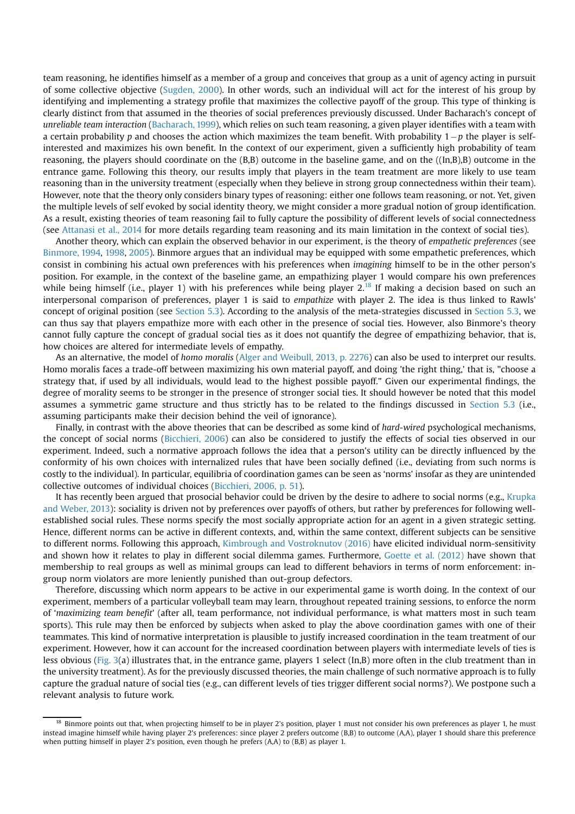team reasoning, he identifies himself as a member of a group and conceives that group as a unit of agency acting in pursuit of some collective objective (Sugden, 2000). In other words, such an individual will act for the interest of his group by identifying and implementing a strategy profile that maximizes the collective payoff of the group. This type of thinking is clearly distinct from that assumed in the theories of social preferences previously discussed. Under Bacharach's concept of unreliable team interaction (Bacharach, 1999), which relies on such team reasoning, a given player identifies with a team with a certain probability p and chooses the action which maximizes the team benefit. With probability  $1-p$  the player is selfinterested and maximizes his own benefit. In the context of our experiment, given a sufficiently high probability of team reasoning, the players should coordinate on the (B,B) outcome in the baseline game, and on the ((In,B),B) outcome in the entrance game. Following this theory, our results imply that players in the team treatment are more likely to use team reasoning than in the university treatment (especially when they believe in strong group connectedness within their team). However, note that the theory only considers binary types of reasoning: either one follows team reasoning, or not. Yet, given the multiple levels of self evoked by social identity theory, we might consider a more gradual notion of group identification. As a result, existing theories of team reasoning fail to fully capture the possibility of different levels of social connectedness (see Attanasi et al., 2014 for more details regarding team reasoning and its main limitation in the context of social ties).

Another theory, which can explain the observed behavior in our experiment, is the theory of empathetic preferences (see Binmore, 1994, 1998, 2005). Binmore argues that an individual may be equipped with some empathetic preferences, which consist in combining his actual own preferences with his preferences when imagining himself to be in the other person's position. For example, in the context of the baseline game, an empathizing player 1 would compare his own preferences while being himself (i.e., player 1) with his preferences while being player  $2^{18}$  If making a decision based on such an interpersonal comparison of preferences, player 1 is said to empathize with player 2. The idea is thus linked to Rawls' concept of original position (see Section 5.3). According to the analysis of the meta-strategies discussed in Section 5.3, we can thus say that players empathize more with each other in the presence of social ties. However, also Binmore's theory cannot fully capture the concept of gradual social ties as it does not quantify the degree of empathizing behavior, that is, how choices are altered for intermediate levels of empathy.

As an alternative, the model of homo moralis (Alger and Weibull, 2013, p. 2276) can also be used to interpret our results. Homo moralis faces a trade-off between maximizing his own material payoff, and doing 'the right thing,' that is, "choose a strategy that, if used by all individuals, would lead to the highest possible payoff." Given our experimental findings, the degree of morality seems to be stronger in the presence of stronger social ties. It should however be noted that this model assumes a symmetric game structure and thus strictly has to be related to the findings discussed in Section 5.3 (i.e., assuming participants make their decision behind the veil of ignorance).

Finally, in contrast with the above theories that can be described as some kind of hard-wired psychological mechanisms, the concept of social norms (Bicchieri, 2006) can also be considered to justify the effects of social ties observed in our experiment. Indeed, such a normative approach follows the idea that a person's utility can be directly influenced by the conformity of his own choices with internalized rules that have been socially defined (i.e., deviating from such norms is costly to the individual). In particular, equilibria of coordination games can be seen as 'norms' insofar as they are unintended collective outcomes of individual choices (Bicchieri, 2006, p. 51).

It has recently been argued that prosocial behavior could be driven by the desire to adhere to social norms (e.g., Krupka and Weber, 2013): sociality is driven not by preferences over payoffs of others, but rather by preferences for following wellestablished social rules. These norms specify the most socially appropriate action for an agent in a given strategic setting. Hence, different norms can be active in different contexts, and, within the same context, different subjects can be sensitive to different norms. Following this approach, Kimbrough and Vostroknutov (2016) have elicited individual norm-sensitivity and shown how it relates to play in different social dilemma games. Furthermore, Goette et al. (2012) have shown that membership to real groups as well as minimal groups can lead to different behaviors in terms of norm enforcement: ingroup norm violators are more leniently punished than out-group defectors.

Therefore, discussing which norm appears to be active in our experimental game is worth doing. In the context of our experiment, members of a particular volleyball team may learn, throughout repeated training sessions, to enforce the norm of 'maximizing team benefit' (after all, team performance, not individual performance, is what matters most in such team sports). This rule may then be enforced by subjects when asked to play the above coordination games with one of their teammates. This kind of normative interpretation is plausible to justify increased coordination in the team treatment of our experiment. However, how it can account for the increased coordination between players with intermediate levels of ties is less obvious (Fig. 3(a) illustrates that, in the entrance game, players 1 select (In,B) more often in the club treatment than in the university treatment). As for the previously discussed theories, the main challenge of such normative approach is to fully capture the gradual nature of social ties (e.g., can different levels of ties trigger different social norms?). We postpone such a relevant analysis to future work.

<sup>&</sup>lt;sup>18</sup> Binmore points out that, when projecting himself to be in player 2's position, player 1 must not consider his own preferences as player 1, he must instead imagine himself while having player 2's preferences: since player 2 prefers outcome (B,B) to outcome (A,A), player 1 should share this preference when putting himself in player 2's position, even though he prefers (A,A) to (B,B) as player 1.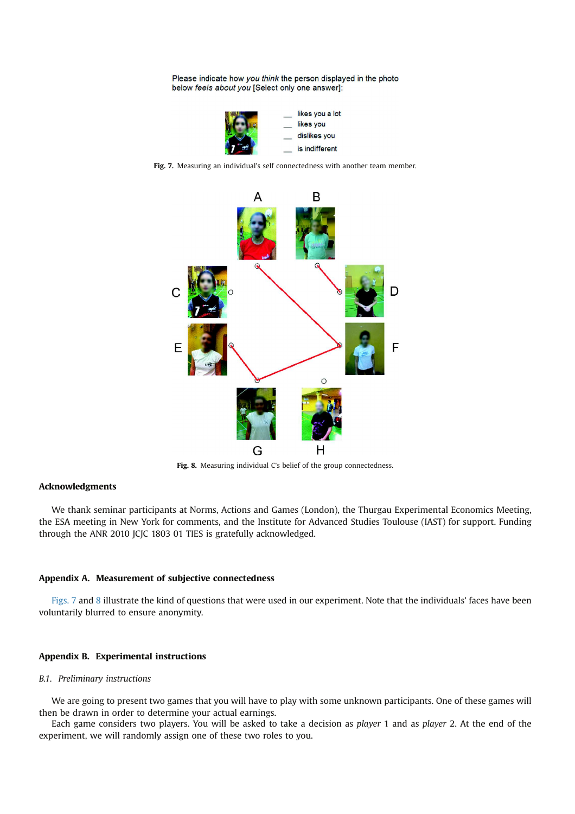Please indicate how you think the person displayed in the photo below feels about you [Select only one answer]:



Fig. 7. Measuring an individual's self connectedness with another team member.



Fig. 8. Measuring individual C's belief of the group connectedness.

# Acknowledgments

We thank seminar participants at Norms, Actions and Games (London), the Thurgau Experimental Economics Meeting, the ESA meeting in New York for comments, and the Institute for Advanced Studies Toulouse (IAST) for support. Funding through the ANR 2010 JCJC 1803 01 TIES is gratefully acknowledged.

# Appendix A. Measurement of subjective connectedness

Figs. 7 and 8 illustrate the kind of questions that were used in our experiment. Note that the individuals' faces have been voluntarily blurred to ensure anonymity.

# Appendix B. Experimental instructions

# B.1. Preliminary instructions

We are going to present two games that you will have to play with some unknown participants. One of these games will then be drawn in order to determine your actual earnings.

Each game considers two players. You will be asked to take a decision as player 1 and as player 2. At the end of the experiment, we will randomly assign one of these two roles to you.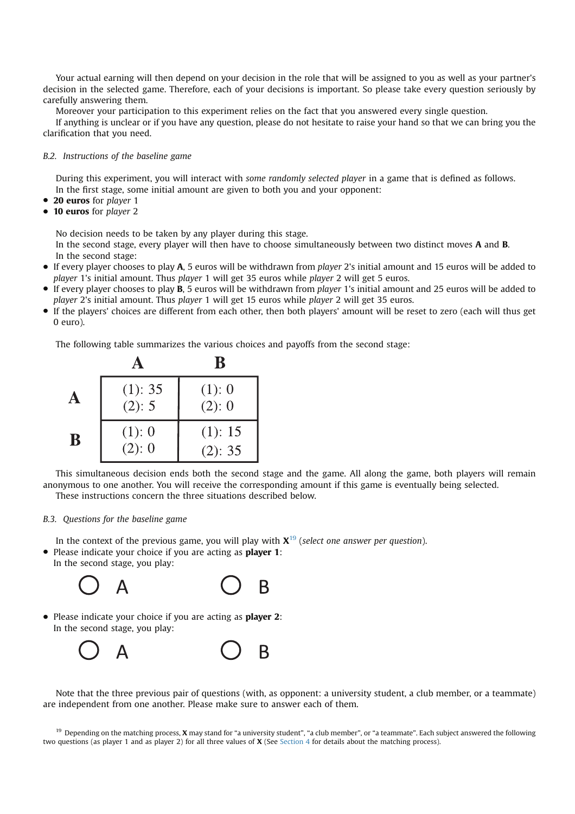Your actual earning will then depend on your decision in the role that will be assigned to you as well as your partner's decision in the selected game. Therefore, each of your decisions is important. So please take every question seriously by carefully answering them.

Moreover your participation to this experiment relies on the fact that you answered every single question.

If anything is unclear or if you have any question, please do not hesitate to raise your hand so that we can bring you the clarification that you need.

# B.2. Instructions of the baseline game

During this experiment, you will interact with some randomly selected player in a game that is defined as follows. In the first stage, some initial amount are given to both you and your opponent:

- 20 euros for player 1
- 10 euros for player 2

No decision needs to be taken by any player during this stage. In the second stage, every player will then have to choose simultaneously between two distinct moves **A** and **B**. In the second stage:

- If every player chooses to play A, 5 euros will be withdrawn from *player* 2's initial amount and 15 euros will be added to player 1's initial amount. Thus player 1 will get 35 euros while player 2 will get 5 euros.
- If every player chooses to play **B**, 5 euros will be withdrawn from *player* 1's initial amount and 25 euros will be added to player 2's initial amount. Thus player 1 will get 15 euros while player 2 will get 35 euros.
- ( If the players' choices are different from each other, then both players' amount will be reset to zero (each will thus get 0 euro).

The following table summarizes the various choices and payoffs from the second stage:



This simultaneous decision ends both the second stage and the game. All along the game, both players will remain anonymous to one another. You will receive the corresponding amount if this game is eventually being selected. These instructions concern the three situations described below.

B.3. Questions for the baseline game

- In the context of the previous game, you will play with  $X^{19}$  (select one answer per question).
- Please indicate your choice if you are acting as **player 1**:
- In the second stage, you play:



• Please indicate your choice if you are acting as player 2: In the second stage, you play:



Note that the three previous pair of questions (with, as opponent: a university student, a club member, or a teammate) are independent from one another. Please make sure to answer each of them.

 $19$  Depending on the matching process, **X** may stand for "a university student", "a club member", or "a teammate". Each subject answered the following two questions (as player 1 and as player 2) for all three values of  $X$  (See Section 4 for details about the matching process).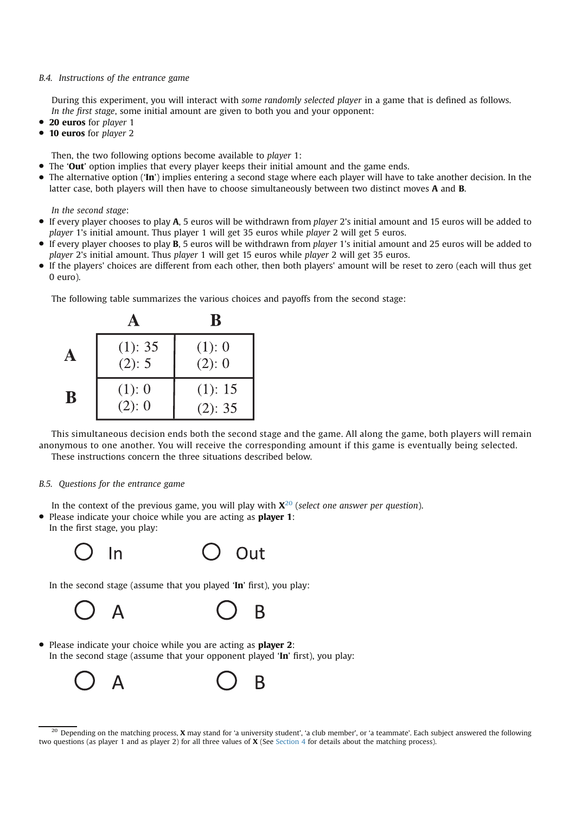# B.4. Instructions of the entrance game

During this experiment, you will interact with some randomly selected player in a game that is defined as follows. In the first stage, some initial amount are given to both you and your opponent:

- 20 euros for player 1
- 10 euros for player 2

Then, the two following options become available to player 1:

- The 'Out' option implies that every player keeps their initial amount and the game ends.
- The alternative option ('In') implies entering a second stage where each player will have to take another decision. In the latter case, both players will then have to choose simultaneously between two distinct moves A and B.

In the second stage:

- If every player chooses to play A, 5 euros will be withdrawn from *player* 2's initial amount and 15 euros will be added to player 1's initial amount. Thus player 1 will get 35 euros while player 2 will get 5 euros.
- If every player chooses to play **B**, 5 euros will be withdrawn from *player* 1's initial amount and 25 euros will be added to player 2's initial amount. Thus player 1 will get 15 euros while player 2 will get 35 euros.
- ( If the players' choices are different from each other, then both players' amount will be reset to zero (each will thus get 0 euro).

The following table summarizes the various choices and payoffs from the second stage:

|   |                   | B                  |
|---|-------------------|--------------------|
|   | (1): 35<br>(2): 5 | (1): 0<br>(2): 0   |
| B | (1): 0<br>(2): 0  | (1): 15<br>(2): 35 |

This simultaneous decision ends both the second stage and the game. All along the game, both players will remain anonymous to one another. You will receive the corresponding amount if this game is eventually being selected. These instructions concern the three situations described below.

# B.5. Questions for the entrance game

In

In the context of the previous game, you will play with  $X^{20}$  (select one answer per question).

• Please indicate your choice while you are acting as **player 1**:

In the first stage, you play:





In the second stage (assume that you played 'In' first), you play:



• Please indicate your choice while you are acting as player 2: In the second stage (assume that your opponent played 'In' first), you play:



<sup>&</sup>lt;sup>20</sup> Depending on the matching process, **X** may stand for 'a university student', 'a club member', or 'a teammate'. Each subject answered the following two questions (as player 1 and as player 2) for all three values of  $X$  (See Section 4 for details about the matching process).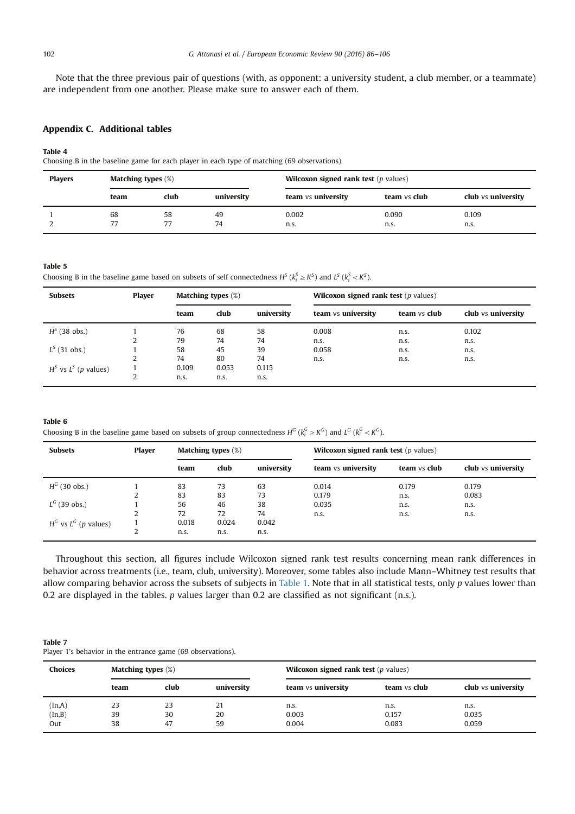Note that the three previous pair of questions (with, as opponent: a university student, a club member, or a teammate) are independent from one another. Please make sure to answer each of them.

# Appendix C. Additional tables

#### Table 4

Choosing B in the baseline game for each player in each type of matching (69 observations).

| <b>Players</b> | <b>Matching types</b> (%) |          |            | <b>Wilcoxon signed rank test</b> ( $p$ values) |               |                    |  |
|----------------|---------------------------|----------|------------|------------------------------------------------|---------------|--------------------|--|
|                | team                      | club     | university | team vs university                             | team vs club  | club vs university |  |
|                | 68<br>77                  | 58<br>77 | 49<br>74   | 0.002<br>n.s.                                  | 0.090<br>n.s. | 0.109<br>n.s.      |  |

# Table 5 Choosing B in the baseline game based on subsets of self connectedness  $H^S$  ( $k_i^S \geq K^S$ ) and  $L^S$  ( $k_i^S < K^S$ ).

| <b>Subsets</b>            | <b>Player</b> | <b>Matching types</b> (%) |       | <b>Wilcoxon signed rank test</b> ( $p$ values) |                    |              |                    |
|---------------------------|---------------|---------------------------|-------|------------------------------------------------|--------------------|--------------|--------------------|
|                           |               | team                      | club  | university                                     | team vs university | team vs club | club vs university |
| $HS$ (38 obs.)            |               | 76                        | 68    | 58                                             | 0.008              | n.s.         | 0.102              |
|                           |               | 79                        | 74    | 74                                             | n.s.               | n.s.         | n.s.               |
| $L^{S}$ (31 obs.)         |               | 58                        | 45    | 39                                             | 0.058              | n.s.         | n.s.               |
|                           |               | 74                        | 80    | 74                                             | n.s.               | n.s.         | n.s.               |
| $H^S$ vs $L^S$ (p values) |               | 0.109                     | 0.053 | 0.115                                          |                    |              |                    |
|                           |               | n.s.                      | n.s.  | n.s.                                           |                    |              |                    |

# Table 6

Choosing B in the baseline game based on subsets of group connectedness  $H^G$  ( $k^G_i \geq K^G$ ) and  $L^G$  ( $k^G_i < K^G$ ).

| <b>Subsets</b>            | <b>Player</b> | <b>Matching types</b> (%) |       | <b>Wilcoxon signed rank test</b> $(p \text{ values})$ |                    |              |                    |
|---------------------------|---------------|---------------------------|-------|-------------------------------------------------------|--------------------|--------------|--------------------|
|                           |               | team                      | club  | university                                            | team vs university | team vs club | club vs university |
| $H^G$ (30 obs.)           |               | 83                        | 73    | 63                                                    | 0.014              | 0.179        | 0.179              |
|                           |               | 83                        | 83    | 73                                                    | 0.179              | n.s.         | 0.083              |
| $L^{G}$ (39 obs.)         |               | 56                        | 46    | 38                                                    | 0.035              | n.s.         | n.s.               |
|                           | ว             | 72                        | 72    | 74                                                    | n.s.               | n.s.         | n.s.               |
| $H^G$ vs $L^G$ (p values) |               | 0.018                     | 0.024 | 0.042                                                 |                    |              |                    |
|                           | ว             | n.s.                      | n.s.  | n.s.                                                  |                    |              |                    |

Throughout this section, all figures include Wilcoxon signed rank test results concerning mean rank differences in behavior across treatments (i.e., team, club, university). Moreover, some tables also include Mann–Whitney test results that allow comparing behavior across the subsets of subjects in Table 1. Note that in all statistical tests, only  $p$  values lower than 0.2 are displayed in the tables.  $p$  values larger than 0.2 are classified as not significant (n.s.).

Table 7 Player 1's behavior in the entrance game (69 observations).

| <b>Choices</b> | <b>Matching types</b> (%) |          |            |                    | <b>Wilcoxon signed rank test</b> $(p \text{ values})$ |                                  |  |  |
|----------------|---------------------------|----------|------------|--------------------|-------------------------------------------------------|----------------------------------|--|--|
|                | team                      | club     | university | team vs university | team vs club                                          | <b>club</b> vs <b>university</b> |  |  |
| (In,A)         | 23                        | 23       | 21         | n.s.               | n.s.                                                  | n.s.                             |  |  |
| (In,B)<br>Out  | 39<br>38                  | 30<br>47 | 20<br>59   | 0.003<br>0.004     | 0.157<br>0.083                                        | 0.035<br>0.059                   |  |  |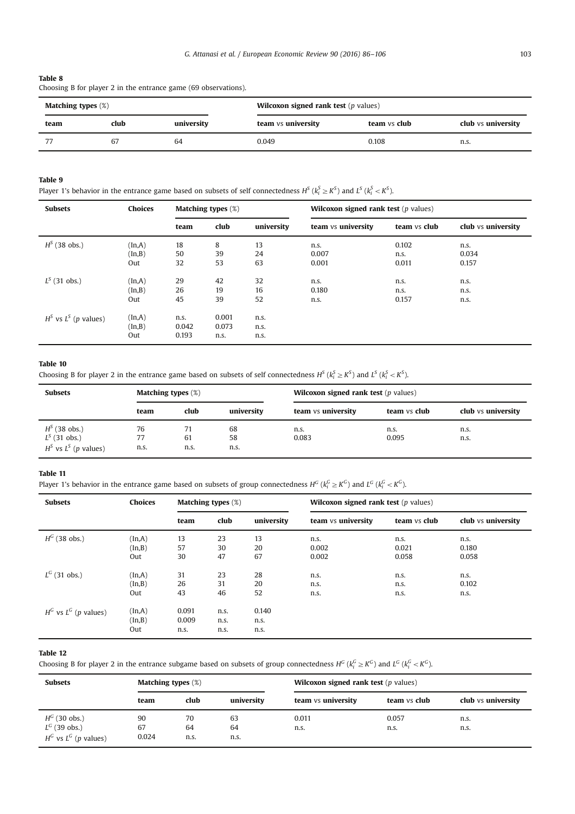#### Table 8 Choosing B for player 2 in the entrance game (69 observations).

| <b>Matching types</b> (%) |                    |    | <b>Wilcoxon signed rank test</b> ( $p$ values) |       |                    |  |
|---------------------------|--------------------|----|------------------------------------------------|-------|--------------------|--|
| team                      | club<br>university |    | team vs university<br>team vs club             |       | club vs university |  |
| 77                        | 67                 | 64 | 0.049                                          | 0.108 | n.s.               |  |

# Table 9

Player 1's behavior in the entrance game based on subsets of self connectedness  $H^S$  ( $k_i^S \geq K^S$ ) and  $L^S$  ( $k_i^S < K^S$ ).

| <b>Subsets</b>            | <b>Choices</b>          | <b>Matching types</b> (%) |                        | <b>Wilcoxon signed rank test</b> ( $p$ values) |                        |                        |                        |
|---------------------------|-------------------------|---------------------------|------------------------|------------------------------------------------|------------------------|------------------------|------------------------|
|                           |                         | team                      | club                   | university                                     | team vs university     | team vs club           | club vs university     |
| $H^S$ (38 obs.)           | (In,A)<br>(In,B)<br>Out | 18<br>50<br>32            | 8<br>39<br>53          | 13<br>24<br>63                                 | n.s.<br>0.007<br>0.001 | 0.102<br>n.s.<br>0.011 | n.s.<br>0.034<br>0.157 |
| $L^{S}$ (31 obs.)         | (In,A)<br>(In,B)<br>Out | 29<br>26<br>45            | 42<br>19<br>39         | 32<br>16<br>52                                 | n.s.<br>0.180<br>n.s.  | n.s.<br>n.s.<br>0.157  | n.s.<br>n.s.<br>n.s.   |
| $H^S$ vs $L^S$ (p values) | (In,A)<br>(In,B)<br>Out | n.s.<br>0.042<br>0.193    | 0.001<br>0.073<br>n.s. | n.s.<br>n.s.<br>n.s.                           |                        |                        |                        |

# Table 10

Choosing B for player 2 in the entrance game based on subsets of self connectedness  $H^S (k_i^S \geq K^S)$  and  $L^S (k_i^S < K^S)$ .

| <b>Subsets</b>            | <b>Matching types</b> (%) |      |            | <b>Wilcoxon signed rank test</b> $(p \text{ values})$ |              |                    |
|---------------------------|---------------------------|------|------------|-------------------------------------------------------|--------------|--------------------|
|                           | team                      | club | university | team vs university                                    | team vs club | club vs university |
| $H^S$ (38 obs.)           | 76                        | 71   | 68         | n.s.                                                  | n.s.         | n.s.               |
| $L^{S}$ (31 obs.)         | 77                        | 61   | 58         | 0.083                                                 | 0.095        | n.s.               |
| $H^S$ vs $L^S$ (p values) | n.s.                      | n.s. | n.s.       |                                                       |              |                    |

# Table 11

Player 1's behavior in the entrance game based on subsets of group connectedness  $H^G$  ( $k_i^G \geq K^G$ ) and  $L^G$  ( $k_i^G < K^G$ ).

| <b>Subsets</b>            | <b>Choices</b> | <b>Matching types</b> (%) |      | <b>Wilcoxon signed rank test</b> $(p \text{ values})$ |                    |              |                    |
|---------------------------|----------------|---------------------------|------|-------------------------------------------------------|--------------------|--------------|--------------------|
|                           |                | team                      | club | university                                            | team vs university | team vs club | club vs university |
| $H^G$ (38 obs.)           | (In,A)         | 13                        | 23   | 13                                                    | n.s.               | n.s.         | n.s.               |
|                           | (In,B)         | 57                        | 30   | 20                                                    | 0.002              | 0.021        | 0.180              |
|                           | Out            | 30                        | 47   | 67                                                    | 0.002              | 0.058        | 0.058              |
| $L^{G}$ (31 obs.)         | (In,A)         | 31                        | 23   | 28                                                    | n.s.               | n.s.         | n.s.               |
|                           | (In,B)         | 26                        | 31   | 20                                                    | n.s.               | n.s.         | 0.102              |
|                           | Out            | 43                        | 46   | 52                                                    | n.s.               | n.s.         | n.s.               |
| $H^G$ vs $L^G$ (p values) | (In,A)         | 0.091                     | n.s. | 0.140                                                 |                    |              |                    |
|                           | (In,B)         | 0.009                     | n.s. | n.s.                                                  |                    |              |                    |
|                           | Out            | n.s.                      | n.s. | n.s.                                                  |                    |              |                    |

# Table 12

Choosing B for player 2 in the entrance subgame based on subsets of group connectedness  $H^G$  ( $k_i^G \geq K^G$ ) and  $L^G$  ( $k_i^G < K^G$ ).

| <b>Subsets</b>            | <b>Matching types</b> (%) |      | <b>Wilcoxon signed rank test</b> $(p \text{ values})$ |                    |              |                    |
|---------------------------|---------------------------|------|-------------------------------------------------------|--------------------|--------------|--------------------|
|                           | team                      | club | university                                            | team vs university | team vs club | club vs university |
| $H^G$ (30 obs.)           | 90                        | 70   | 63                                                    | 0.011              | 0.057        | n.s.               |
| $L^{G}$ (39 obs.)         | 67                        | 64   | 64                                                    | n.s.               | n.s.         | n.s.               |
| $H^G$ vs $L^G$ (p values) | 0.024                     | n.s. | n.s.                                                  |                    |              |                    |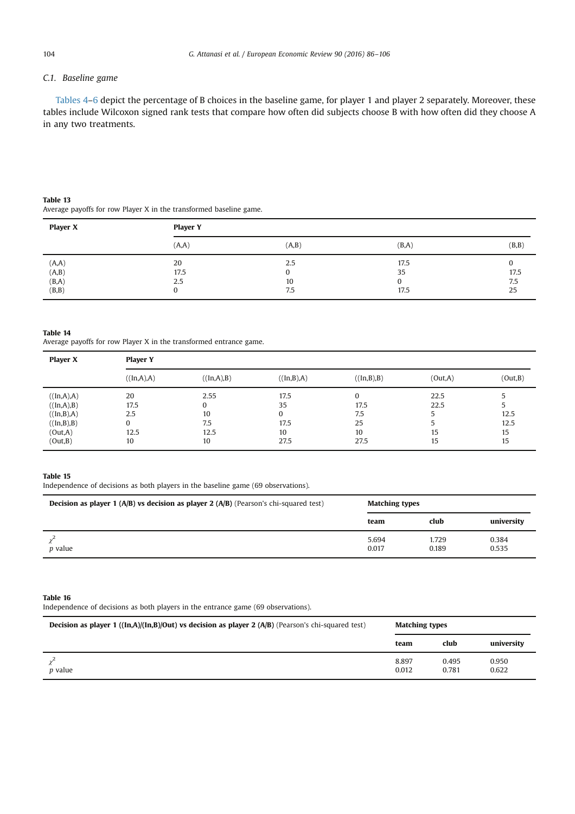# C.1. Baseline game

Tables 4–6 depict the percentage of B choices in the baseline game, for player 1 and player 2 separately. Moreover, these tables include Wilcoxon signed rank tests that compare how often did subjects choose B with how often did they choose A in any two treatments.

## Table 13

| <b>Player X</b> | <b>Player Y</b> |       |       |       |  |  |
|-----------------|-----------------|-------|-------|-------|--|--|
|                 | (A,A)           | (A,B) | (B,A) | (B,B) |  |  |
|                 | 20              | 2.5   | 17.5  |       |  |  |
| $(A,A)$ $(A,B)$ | 17.5            | 0     | 35    | 17.5  |  |  |
| (B,A)           | 2.5             | 10    | U     | 7.5   |  |  |
| (B,B)           | υ               | 7.5   | 17.5  | 25    |  |  |

Average payoffs for row Player X in the transformed baseline game.

#### Table 14

Average payoffs for row Player X in the transformed entrance game.

| <b>Player X</b> | <b>Player Y</b> |              |            |            |          |         |  |
|-----------------|-----------------|--------------|------------|------------|----------|---------|--|
|                 | ((In, A), A)    | ((In, A), B) | ((In,B),A) | ((In,B),B) | (Out, A) | (Out,B) |  |
| ((In, A), A)    | 20              | 2.55         | 17.5       | $\Omega$   | 22.5     |         |  |
| ((In, A), B)    | 17.5            | 0            | 35         | 17.5       | 22.5     |         |  |
| ((In,B),A)      | 2.5             | 10           | 0          | 7.5        |          | 12.5    |  |
| ((In,B),B)      |                 | 7.5          | 17.5       | 25         |          | 12.5    |  |
| (Out, A)        | 12.5            | 12.5         | 10         | 10         | 15       | 15      |  |
| (Out,B)         | 10              | 10           | 27.5       | 27.5       | 15       | 15      |  |

#### Table 15

Independence of decisions as both players in the baseline game (69 observations).

| <b>Decision as player 1 (A/B) vs decision as player 2 (A/B)</b> (Pearson's chi-squared test) | <b>Matching types</b> |                |                |
|----------------------------------------------------------------------------------------------|-----------------------|----------------|----------------|
|                                                                                              | team                  | club           | university     |
| <i>p</i> value                                                                               | 5.694<br>0.017        | 1.729<br>0.189 | 0.384<br>0.535 |

# Table 16

Independence of decisions as both players in the entrance game (69 observations).

| <b>Decision as player 1 ((In,A)/(In,B)/Out) vs decision as player 2 (A/B)</b> (Pearson's chi-squared test) | <b>Matching types</b> |                |                |
|------------------------------------------------------------------------------------------------------------|-----------------------|----------------|----------------|
|                                                                                                            | team                  | club           | university     |
| <i>p</i> value                                                                                             | 8.897<br>0.012        | 0.495<br>0.781 | 0.950<br>0.622 |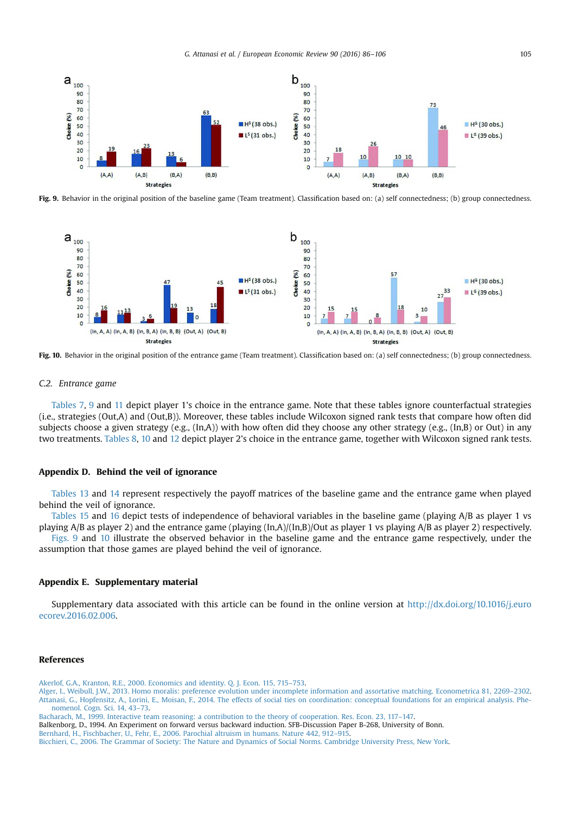

Fig. 9. Behavior in the original position of the baseline game (Team treatment). Classification based on: (a) self connectedness: (b) group connectedness.



Fig. 10. Behavior in the original position of the entrance game (Team treatment). Classification based on: (a) self connectedness; (b) group connectedness.

#### C.2. Entrance game

Tables 7, 9 and 11 depict player 1's choice in the entrance game. Note that these tables ignore counterfactual strategies (i.e., strategies (Out,A) and (Out,B)). Moreover, these tables include Wilcoxon signed rank tests that compare how often did subjects choose a given strategy (e.g.,  $(In,A)$ ) with how often did they choose any other strategy (e.g.,  $(In,B)$  or Out) in any two treatments. Tables 8, 10 and 12 depict player 2's choice in the entrance game, together with Wilcoxon signed rank tests.

## Appendix D. Behind the veil of ignorance

Tables 13 and 14 represent respectively the payoff matrices of the baseline game and the entrance game when played behind the veil of ignorance.

Tables 15 and 16 depict tests of independence of behavioral variables in the baseline game (playing A/B as player 1 vs playing A/B as player 2) and the entrance game (playing (In,A)/(In,B)/Out as player 1 vs playing A/B as player 2) respectively.

Figs. 9 and 10 illustrate the observed behavior in the baseline game and the entrance game respectively, under the assumption that those games are played behind the veil of ignorance.

# Appendix E. Supplementary material

Supplementary data associated with this article can be found in the online version at http://dx.doi.org/10.1016/j.euro ecorev.2016.02.006.

## References

Akerlof, G.A., Kranton, R.E., 2000. Economics and identity. Q. J. Econ. 115, 715–753.

Balkenborg, D., 1994. An Experiment on forward versus backward induction. SFB-Discussion Paper B-268, University of Bonn.

Bernhard, H., Fischbacher, U., Fehr, E., 2006. Parochial altruism in humans. Nature 442, 912–915.

Alger, I., Weibull, J.W., 2013. Homo moralis: preference evolution under incomplete information and assortative matching. Econometrica 81, 2269–2302. Attanasi, G., Hopfensitz, A., Lorini, E., Moisan, F., 2014. The effects of social ties on coordination: conceptual foundations for an empirical analysis. Phenomenol. Cogn. Sci. 14, 43–73.

Bacharach, M., 1999. Interactive team reasoning: a contribution to the theory of cooperation. Res. Econ. 23, 117–147.

Bicchieri, C., 2006. The Grammar of Society: The Nature and Dynamics of Social Norms. Cambridge University Press, New York.